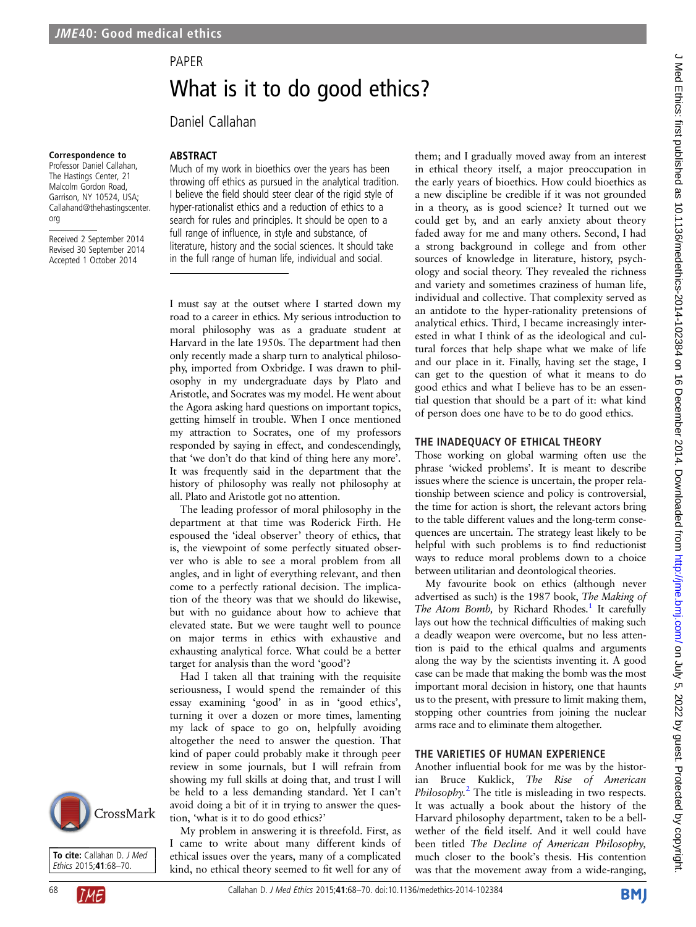# PAPER What is it to do good ethics?

Daniel Callahan

#### Correspondence to

Professor Daniel Callahan, The Hastings Center, 21 Malcolm Gordon Road, Garrison, NY 10524, USA; Callahand@thehastingscenter. org

Received 2 September 2014 Revised 30 September 2014 Accepted 1 October 2014

#### ABSTRACT

Much of my work in bioethics over the years has been throwing off ethics as pursued in the analytical tradition. I believe the field should steer clear of the rigid style of hyper-rationalist ethics and a reduction of ethics to a search for rules and principles. It should be open to a full range of influence, in style and substance, of literature, history and the social sciences. It should take in the full range of human life, individual and social.

I must say at the outset where I started down my road to a career in ethics. My serious introduction to moral philosophy was as a graduate student at Harvard in the late 1950s. The department had then only recently made a sharp turn to analytical philosophy, imported from Oxbridge. I was drawn to philosophy in my undergraduate days by Plato and Aristotle, and Socrates was my model. He went about the Agora asking hard questions on important topics, getting himself in trouble. When I once mentioned my attraction to Socrates, one of my professors responded by saying in effect, and condescendingly, that 'we don't do that kind of thing here any more'. It was frequently said in the department that the history of philosophy was really not philosophy at all. Plato and Aristotle got no attention.

The leading professor of moral philosophy in the department at that time was Roderick Firth. He espoused the 'ideal observer' theory of ethics, that is, the viewpoint of some perfectly situated observer who is able to see a moral problem from all angles, and in light of everything relevant, and then come to a perfectly rational decision. The implication of the theory was that we should do likewise, but with no guidance about how to achieve that elevated state. But we were taught well to pounce on major terms in ethics with exhaustive and exhausting analytical force. What could be a better target for analysis than the word 'good'?

Had I taken all that training with the requisite seriousness, I would spend the remainder of this essay examining 'good' in as in 'good ethics', turning it over a dozen or more times, lamenting my lack of space to go on, helpfully avoiding altogether the need to answer the question. That kind of paper could probably make it through peer review in some journals, but I will refrain from showing my full skills at doing that, and trust I will be held to a less demanding standard. Yet I can't avoid doing a bit of it in trying to answer the question, 'what is it to do good ethics?'

My problem in answering it is threefold. First, as I came to write about many different kinds of ethical issues over the years, many of a complicated kind, no ethical theory seemed to fit well for any of them; and I gradually moved away from an interest in ethical theory itself, a major preoccupation in the early years of bioethics. How could bioethics as a new discipline be credible if it was not grounded in a theory, as is good science? It turned out we could get by, and an early anxiety about theory faded away for me and many others. Second, I had a strong background in college and from other sources of knowledge in literature, history, psychology and social theory. They revealed the richness and variety and sometimes craziness of human life, individual and collective. That complexity served as an antidote to the hyper-rationality pretensions of analytical ethics. Third, I became increasingly interested in what I think of as the ideological and cultural forces that help shape what we make of life and our place in it. Finally, having set the stage, I can get to the question of what it means to do good ethics and what I believe has to be an essential question that should be a part of it: what kind of person does one have to be to do good ethics.

#### THE INADEQUACY OF ETHICAL THEORY

Those working on global warming often use the phrase 'wicked problems'. It is meant to describe issues where the science is uncertain, the proper relationship between science and policy is controversial, the time for action is short, the relevant actors bring to the table different values and the long-term consequences are uncertain. The strategy least likely to be helpful with such problems is to find reductionist ways to reduce moral problems down to a choice between utilitarian and deontological theories.

My favourite book on ethics (although never advertised as such) is the 1987 book, The Making of The Atom Bomb, by Richard Rhodes.<sup>[1](#page-2-0)</sup> It carefully lays out how the technical difficulties of making such a deadly weapon were overcome, but no less attention is paid to the ethical qualms and arguments along the way by the scientists inventing it. A good case can be made that making the bomb was the most important moral decision in history, one that haunts us to the present, with pressure to limit making them, stopping other countries from joining the nuclear arms race and to eliminate them altogether.

#### THE VARIETIES OF HUMAN EXPERIENCE

Another influential book for me was by the historian Bruce Kuklick, The Rise of American *Philosophy.*<sup>[2](#page-2-0)</sup> The title is misleading in two respects. It was actually a book about the history of the Harvard philosophy department, taken to be a bellwether of the field itself. And it well could have been titled The Decline of American Philosophy, much closer to the book's thesis. His contention was that the movement away from a wide-ranging,



To cite: Callahan D. J Med Ethics 2015;41:68–70.



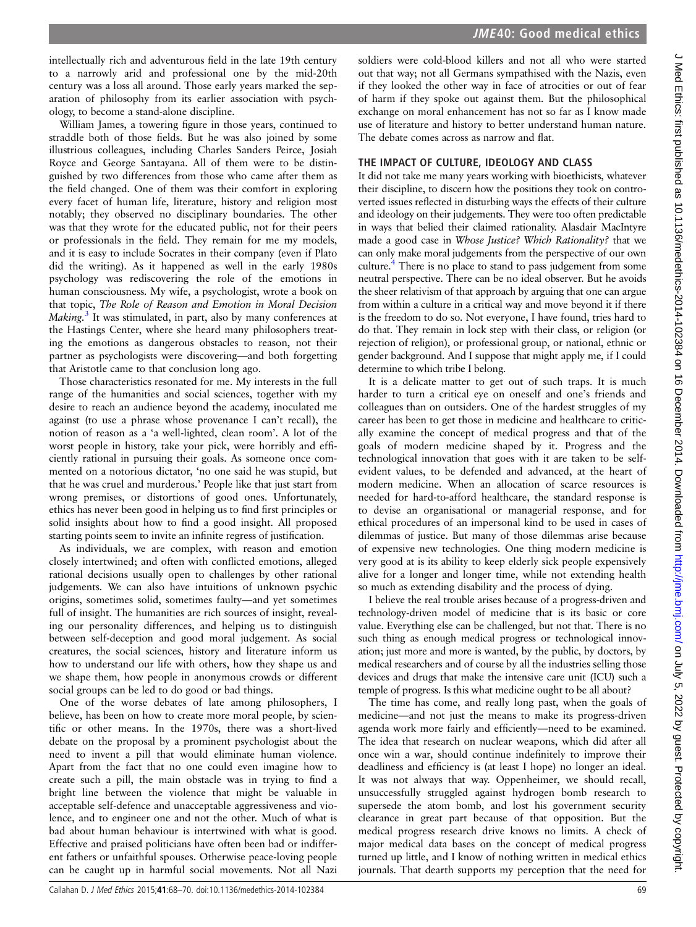intellectually rich and adventurous field in the late 19th century to a narrowly arid and professional one by the mid-20th century was a loss all around. Those early years marked the separation of philosophy from its earlier association with psychology, to become a stand-alone discipline.

William James, a towering figure in those years, continued to straddle both of those fields. But he was also joined by some illustrious colleagues, including Charles Sanders Peirce, Josiah Royce and George Santayana. All of them were to be distinguished by two differences from those who came after them as the field changed. One of them was their comfort in exploring every facet of human life, literature, history and religion most notably; they observed no disciplinary boundaries. The other was that they wrote for the educated public, not for their peers or professionals in the field. They remain for me my models, and it is easy to include Socrates in their company (even if Plato did the writing). As it happened as well in the early 1980s psychology was rediscovering the role of the emotions in human consciousness. My wife, a psychologist, wrote a book on that topic, The Role of Reason and Emotion in Moral Decision *Making.*<sup>[3](#page-2-0)</sup> It was stimulated, in part, also by many conferences at the Hastings Center, where she heard many philosophers treating the emotions as dangerous obstacles to reason, not their partner as psychologists were discovering—and both forgetting that Aristotle came to that conclusion long ago.

Those characteristics resonated for me. My interests in the full range of the humanities and social sciences, together with my desire to reach an audience beyond the academy, inoculated me against (to use a phrase whose provenance I can't recall), the notion of reason as a 'a well-lighted, clean room'. A lot of the worst people in history, take your pick, were horribly and efficiently rational in pursuing their goals. As someone once commented on a notorious dictator, 'no one said he was stupid, but that he was cruel and murderous.' People like that just start from wrong premises, or distortions of good ones. Unfortunately, ethics has never been good in helping us to find first principles or solid insights about how to find a good insight. All proposed starting points seem to invite an infinite regress of justification.

As individuals, we are complex, with reason and emotion closely intertwined; and often with conflicted emotions, alleged rational decisions usually open to challenges by other rational judgements. We can also have intuitions of unknown psychic origins, sometimes solid, sometimes faulty—and yet sometimes full of insight. The humanities are rich sources of insight, revealing our personality differences, and helping us to distinguish between self-deception and good moral judgement. As social creatures, the social sciences, history and literature inform us how to understand our life with others, how they shape us and we shape them, how people in anonymous crowds or different social groups can be led to do good or bad things.

One of the worse debates of late among philosophers, I believe, has been on how to create more moral people, by scientific or other means. In the 1970s, there was a short-lived debate on the proposal by a prominent psychologist about the need to invent a pill that would eliminate human violence. Apart from the fact that no one could even imagine how to create such a pill, the main obstacle was in trying to find a bright line between the violence that might be valuable in acceptable self-defence and unacceptable aggressiveness and violence, and to engineer one and not the other. Much of what is bad about human behaviour is intertwined with what is good. Effective and praised politicians have often been bad or indifferent fathers or unfaithful spouses. Otherwise peace-loving people can be caught up in harmful social movements. Not all Nazi soldiers were cold-blood killers and not all who were started out that way; not all Germans sympathised with the Nazis, even if they looked the other way in face of atrocities or out of fear of harm if they spoke out against them. But the philosophical exchange on moral enhancement has not so far as I know made use of literature and history to better understand human nature. The debate comes across as narrow and flat.

## THE IMPACT OF CULTURE, IDEOLOGY AND CLASS

It did not take me many years working with bioethicists, whatever their discipline, to discern how the positions they took on controverted issues reflected in disturbing ways the effects of their culture and ideology on their judgements. They were too often predictable in ways that belied their claimed rationality. Alasdair MacIntyre made a good case in Whose Justice? Which Rationality? that we can only make moral judgements from the perspective of our own culture.<sup>[4](#page-2-0)</sup> There is no place to stand to pass judgement from some neutral perspective. There can be no ideal observer. But he avoids the sheer relativism of that approach by arguing that one can argue from within a culture in a critical way and move beyond it if there is the freedom to do so. Not everyone, I have found, tries hard to do that. They remain in lock step with their class, or religion (or rejection of religion), or professional group, or national, ethnic or gender background. And I suppose that might apply me, if I could determine to which tribe I belong.

It is a delicate matter to get out of such traps. It is much harder to turn a critical eye on oneself and one's friends and colleagues than on outsiders. One of the hardest struggles of my career has been to get those in medicine and healthcare to critically examine the concept of medical progress and that of the goals of modern medicine shaped by it. Progress and the technological innovation that goes with it are taken to be selfevident values, to be defended and advanced, at the heart of modern medicine. When an allocation of scarce resources is needed for hard-to-afford healthcare, the standard response is to devise an organisational or managerial response, and for ethical procedures of an impersonal kind to be used in cases of dilemmas of justice. But many of those dilemmas arise because of expensive new technologies. One thing modern medicine is very good at is its ability to keep elderly sick people expensively alive for a longer and longer time, while not extending health so much as extending disability and the process of dying.

I believe the real trouble arises because of a progress-driven and technology-driven model of medicine that is its basic or core value. Everything else can be challenged, but not that. There is no such thing as enough medical progress or technological innovation; just more and more is wanted, by the public, by doctors, by medical researchers and of course by all the industries selling those devices and drugs that make the intensive care unit (ICU) such a temple of progress. Is this what medicine ought to be all about?

The time has come, and really long past, when the goals of medicine—and not just the means to make its progress-driven agenda work more fairly and efficiently—need to be examined. The idea that research on nuclear weapons, which did after all once win a war, should continue indefinitely to improve their deadliness and efficiency is (at least I hope) no longer an ideal. It was not always that way. Oppenheimer, we should recall, unsuccessfully struggled against hydrogen bomb research to supersede the atom bomb, and lost his government security clearance in great part because of that opposition. But the medical progress research drive knows no limits. A check of major medical data bases on the concept of medical progress turned up little, and I know of nothing written in medical ethics journals. That dearth supports my perception that the need for